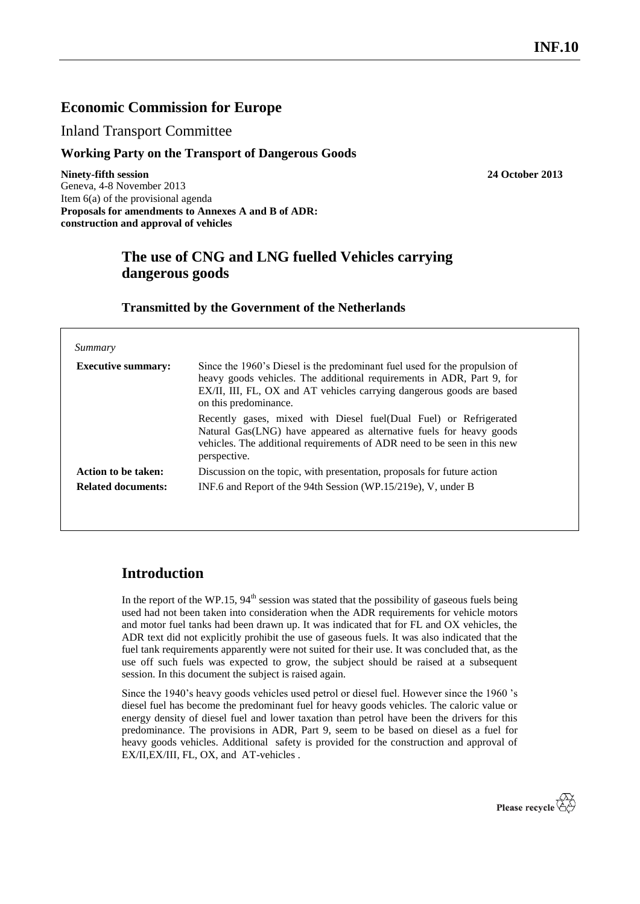## **Economic Commission for Europe**

Inland Transport Committee

### **Working Party on the Transport of Dangerous Goods**

**Ninety-fifth session 24 October 2013** Geneva, 4-8 November 2013 Item 6(a) of the provisional agenda **Proposals for amendments to Annexes A and B of ADR: construction and approval of vehicles**

# **The use of CNG and LNG fuelled Vehicles carrying dangerous goods**

### **Transmitted by the Government of the Netherlands**

| Summary                   |                                                                                                                                                                                                                                                       |
|---------------------------|-------------------------------------------------------------------------------------------------------------------------------------------------------------------------------------------------------------------------------------------------------|
| <b>Executive summary:</b> | Since the 1960's Diesel is the predominant fuel used for the propulsion of<br>heavy goods vehicles. The additional requirements in ADR, Part 9, for<br>EX/II, III, FL, OX and AT vehicles carrying dangerous goods are based<br>on this predominance. |
|                           | Recently gases, mixed with Diesel fuel (Dual Fuel) or Refrigerated<br>Natural Gas(LNG) have appeared as alternative fuels for heavy goods<br>vehicles. The additional requirements of ADR need to be seen in this new<br>perspective.                 |
| Action to be taken:       | Discussion on the topic, with presentation, proposals for future action                                                                                                                                                                               |
| <b>Related documents:</b> | INF.6 and Report of the 94th Session (WP.15/219e), V, under B                                                                                                                                                                                         |

## **Introduction**

In the report of the WP.15,  $94<sup>th</sup>$  session was stated that the possibility of gaseous fuels being used had not been taken into consideration when the ADR requirements for vehicle motors and motor fuel tanks had been drawn up. It was indicated that for FL and OX vehicles, the ADR text did not explicitly prohibit the use of gaseous fuels. It was also indicated that the fuel tank requirements apparently were not suited for their use. It was concluded that, as the use off such fuels was expected to grow, the subject should be raised at a subsequent session. In this document the subject is raised again.

Since the 1940's heavy goods vehicles used petrol or diesel fuel. However since the 1960 's diesel fuel has become the predominant fuel for heavy goods vehicles. The caloric value or energy density of diesel fuel and lower taxation than petrol have been the drivers for this predominance. The provisions in ADR, Part 9, seem to be based on diesel as a fuel for heavy goods vehicles. Additional safety is provided for the construction and approval of EX/II,EX/III, FL, OX, and AT-vehicles .

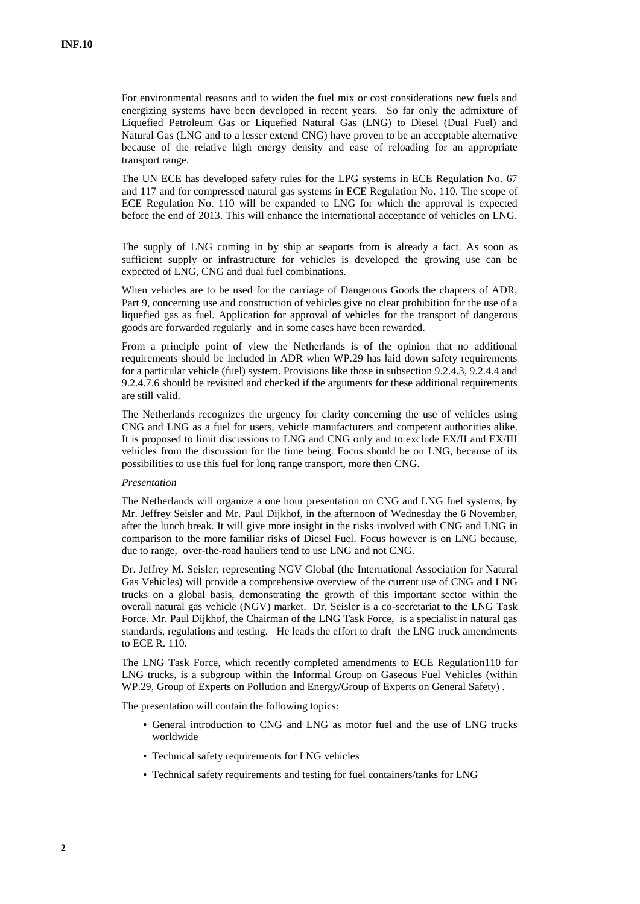For environmental reasons and to widen the fuel mix or cost considerations new fuels and energizing systems have been developed in recent years. So far only the admixture of Liquefied Petroleum Gas or Liquefied Natural Gas (LNG) to Diesel (Dual Fuel) and Natural Gas (LNG and to a lesser extend CNG) have proven to be an acceptable alternative because of the relative high energy density and ease of reloading for an appropriate transport range.

The UN ECE has developed safety rules for the LPG systems in ECE Regulation No. 67 and 117 and for compressed natural gas systems in ECE Regulation No. 110. The scope of ECE Regulation No. 110 will be expanded to LNG for which the approval is expected before the end of 2013. This will enhance the international acceptance of vehicles on LNG.

The supply of LNG coming in by ship at seaports from is already a fact. As soon as sufficient supply or infrastructure for vehicles is developed the growing use can be expected of LNG, CNG and dual fuel combinations.

When vehicles are to be used for the carriage of Dangerous Goods the chapters of ADR, Part 9, concerning use and construction of vehicles give no clear prohibition for the use of a liquefied gas as fuel. Application for approval of vehicles for the transport of dangerous goods are forwarded regularly and in some cases have been rewarded.

From a principle point of view the Netherlands is of the opinion that no additional requirements should be included in ADR when WP.29 has laid down safety requirements for a particular vehicle (fuel) system. Provisions like those in subsection 9.2.4.3, 9.2.4.4 and 9.2.4.7.6 should be revisited and checked if the arguments for these additional requirements are still valid.

The Netherlands recognizes the urgency for clarity concerning the use of vehicles using CNG and LNG as a fuel for users, vehicle manufacturers and competent authorities alike. It is proposed to limit discussions to LNG and CNG only and to exclude EX/II and EX/III vehicles from the discussion for the time being. Focus should be on LNG, because of its possibilities to use this fuel for long range transport, more then CNG.

#### *Presentation*

The Netherlands will organize a one hour presentation on CNG and LNG fuel systems, by Mr. Jeffrey Seisler and Mr. Paul Dijkhof, in the afternoon of Wednesday the 6 November, after the lunch break. It will give more insight in the risks involved with CNG and LNG in comparison to the more familiar risks of Diesel Fuel. Focus however is on LNG because, due to range, over-the-road hauliers tend to use LNG and not CNG.

Dr. Jeffrey M. Seisler, representing NGV Global (the International Association for Natural Gas Vehicles) will provide a comprehensive overview of the current use of CNG and LNG trucks on a global basis, demonstrating the growth of this important sector within the overall natural gas vehicle (NGV) market. Dr. Seisler is a co-secretariat to the LNG Task Force. Mr. Paul Dijkhof, the Chairman of the LNG Task Force, is a specialist in natural gas standards, regulations and testing. He leads the effort to draft the LNG truck amendments to ECE R. 110.

The LNG Task Force, which recently completed amendments to ECE Regulation110 for LNG trucks, is a subgroup within the Informal Group on Gaseous Fuel Vehicles (within WP.29, Group of Experts on Pollution and Energy/Group of Experts on General Safety) .

The presentation will contain the following topics:

- General introduction to CNG and LNG as motor fuel and the use of LNG trucks worldwide
- Technical safety requirements for LNG vehicles
- Technical safety requirements and testing for fuel containers/tanks for LNG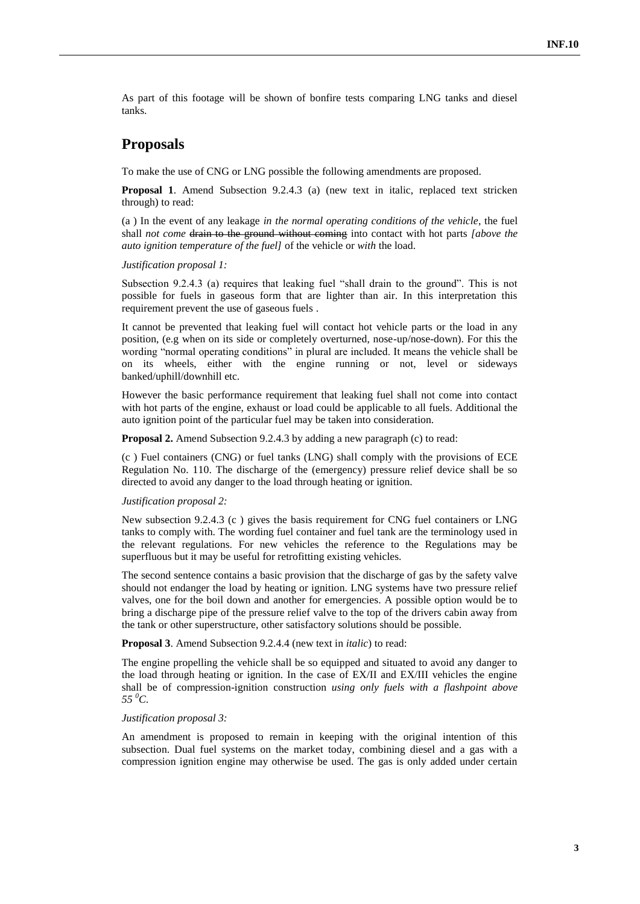As part of this footage will be shown of bonfire tests comparing LNG tanks and diesel tanks.

## **Proposals**

To make the use of CNG or LNG possible the following amendments are proposed.

**Proposal 1**. Amend Subsection 9.2.4.3 (a) (new text in italic, replaced text stricken through) to read:

(a ) In the event of any leakage *in the normal operating conditions of the vehicle*, the fuel shall *not come* drain to the ground without coming into contact with hot parts *[above the auto ignition temperature of the fuel]* of the vehicle or *with* the load.

### *Justification proposal 1:*

Subsection 9.2.4.3 (a) requires that leaking fuel "shall drain to the ground". This is not possible for fuels in gaseous form that are lighter than air. In this interpretation this requirement prevent the use of gaseous fuels .

It cannot be prevented that leaking fuel will contact hot vehicle parts or the load in any position, (e.g when on its side or completely overturned, nose-up/nose-down). For this the wording "normal operating conditions" in plural are included. It means the vehicle shall be on its wheels, either with the engine running or not, level or sideways banked/uphill/downhill etc.

However the basic performance requirement that leaking fuel shall not come into contact with hot parts of the engine, exhaust or load could be applicable to all fuels. Additional the auto ignition point of the particular fuel may be taken into consideration.

**Proposal 2.** Amend Subsection 9.2.4.3 by adding a new paragraph (c) to read:

(c ) Fuel containers (CNG) or fuel tanks (LNG) shall comply with the provisions of ECE Regulation No. 110. The discharge of the (emergency) pressure relief device shall be so directed to avoid any danger to the load through heating or ignition.

### *Justification proposal 2:*

New subsection 9.2.4.3 (c ) gives the basis requirement for CNG fuel containers or LNG tanks to comply with. The wording fuel container and fuel tank are the terminology used in the relevant regulations. For new vehicles the reference to the Regulations may be superfluous but it may be useful for retrofitting existing vehicles.

The second sentence contains a basic provision that the discharge of gas by the safety valve should not endanger the load by heating or ignition. LNG systems have two pressure relief valves, one for the boil down and another for emergencies. A possible option would be to bring a discharge pipe of the pressure relief valve to the top of the drivers cabin away from the tank or other superstructure, other satisfactory solutions should be possible.

**Proposal 3**. Amend Subsection 9.2.4.4 (new text in *italic*) to read:

The engine propelling the vehicle shall be so equipped and situated to avoid any danger to the load through heating or ignition. In the case of EX/II and EX/III vehicles the engine shall be of compression-ignition construction *using only fuels with a flashpoint above*   $55\,^0C$ .

#### *Justification proposal 3:*

An amendment is proposed to remain in keeping with the original intention of this subsection. Dual fuel systems on the market today, combining diesel and a gas with a compression ignition engine may otherwise be used. The gas is only added under certain